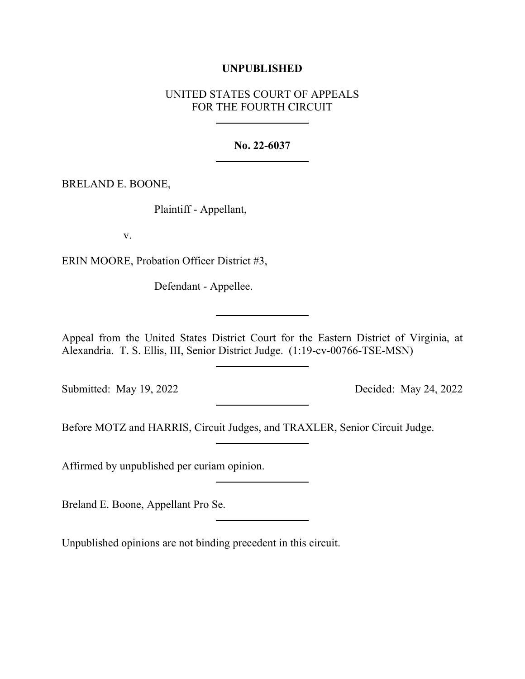### **UNPUBLISHED**

# UNITED STATES COURT OF APPEALS FOR THE FOURTH CIRCUIT

#### **No. 22-6037**

BRELAND E. BOONE,

Plaintiff - Appellant,

v.

ERIN MOORE, Probation Officer District #3,

Defendant - Appellee.

Appeal from the United States District Court for the Eastern District of Virginia, at Alexandria. T. S. Ellis, III, Senior District Judge. (1:19-cv-00766-TSE-MSN)

Submitted: May 19, 2022 Decided: May 24, 2022

Before MOTZ and HARRIS, Circuit Judges, and TRAXLER, Senior Circuit Judge.

Affirmed by unpublished per curiam opinion.

Breland E. Boone, Appellant Pro Se.

Unpublished opinions are not binding precedent in this circuit.